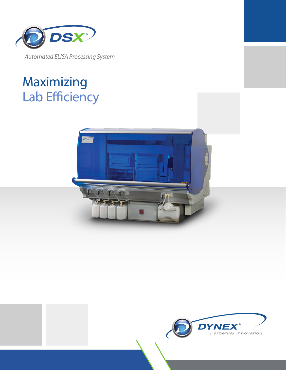

*Automated ELISA Processing System*

# Maximizing Lab Efficiency



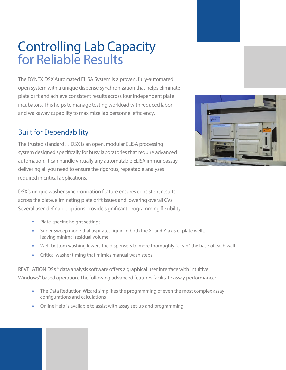## Controlling Lab Capacity for Reliable Results

The DYNEX DSX Automated ELISA System is a proven, fully-automated open system with a unique dispense synchronization that helps eliminate plate drift and achieve consistent results across four independent plate incubators. This helps to manage testing workload with reduced labor and walkaway capability to maximize lab personnel efficiency.

### Built for Dependability

The trusted standard… DSX is an open, modular ELISA processing system designed specifically for busy laboratories that require advanced automation. It can handle virtually any automatable ELISA immunoassay delivering all you need to ensure the rigorous, repeatable analyses required in critical applications.



DSX's unique washer synchronization feature ensures consistent results across the plate, eliminating plate drift issues and lowering overall CVs. Several user-definable options provide significant programming flexibility:

- Plate-specific height settings
- Super Sweep mode that aspirates liquid in both the X- and Y-axis of plate wells, leaving minimal residual volume
- Well-bottom washing lowers the dispensers to more thoroughly "clean" the base of each well
- Critical washer timing that mimics manual wash steps

REVELATION DSX<sup>®</sup> data analysis software offers a graphical user interface with intuitive Windows<sup>®</sup>-based operation. The following advanced features facilitate assay performance:

- The Data Reduction Wizard simplifies the programming of even the most complex assay configurations and calculations
- Online Help is available to assist with assay set-up and programming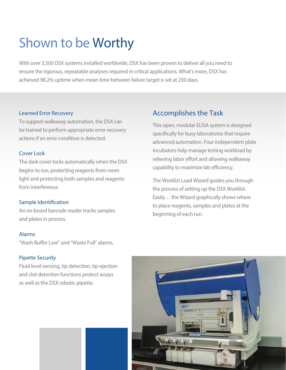## Shown to be Worthy

With over 3,500 DSX systems installed worldwide, DSX has been proven to deliver all you need to ensure the rigorous, repeatable analyses required in critical applications. What's more, DSX has achieved 98.2% uptime when mean time between failure target is set at 250 days.

#### Learned Error Recovery

To support walkaway automation, the DSX can be trained to perform appropriate error recovery actions if an error condition is detected.

#### Cover Lock

The dark cover locks automatically when the DSX begins to run, protecting reagents from room light and protecting both samples and reagents from interference.

#### Sample Identification

An on-board barcode reader tracks samples and plates in process.

#### Alarms

"Wash Buffer Low" and "Waste Full" alarms.

#### Pipette Security

Fluid level sensing, tip detection, tip-ejection and clot detection functions protect assays as well as the DSX robotic pipette.

### Accomplishes the Task

This open, modular ELISA system is designed specifically for busy laboratories that require advanced automation. Four independent plate incubators help manage testing workload by relieving labor effort and allowing walkaway capability to maximize lab efficiency.

The Worklist Load Wizard guides you through the process of setting up the DSX Worklist. Easily… the Wizard graphically shows where to place reagents, samples and plates at the beginning of each run.